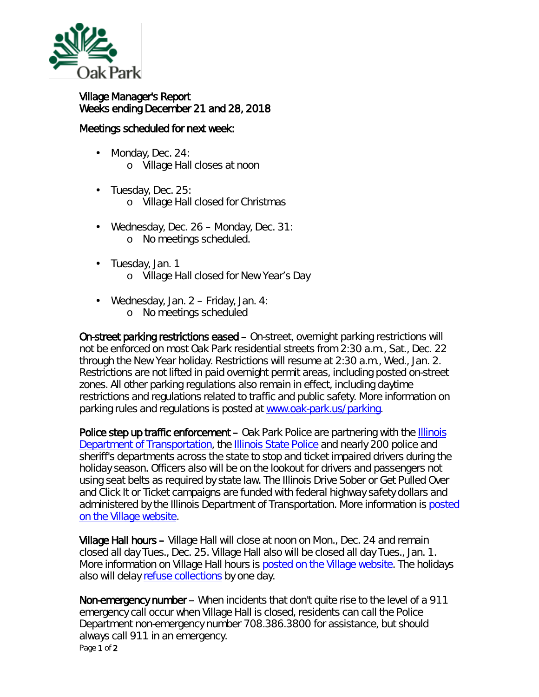

## Village Manager's Report Weeks ending December 21 and 28, 2018

## Meetings scheduled for next week:

- Monday, Dec. 24: ä, o Village Hall closes at noon
- Tuesday, Dec. 25: ¥,
	- o Village Hall closed for Christmas
- Wednesday, Dec. 26 Monday, Dec. 31: ¥, o No meetings scheduled.
- Tuesday, Jan. 1 ä,
	- o Village Hall closed for New Year's Day
- Wednesday, Jan. 2 Friday, Jan. 4: o No meetings scheduled

On-street parking restrictions eased – On-street, overnight parking restrictions will not be enforced on most Oak Park residential streets from 2:30 a.m., Sat., Dec. 22 through the New Year holiday. Restrictions will resume at 2:30 a.m., Wed., Jan. 2. Restrictions are not lifted in paid overnight permit areas, including posted on-street zones. All other parking regulations also remain in effect, including daytime restrictions and regulations related to traffic and public safety. More information on parking rules and regulations is posted at [www.oak-park.us/parking.](http://www.oak-park.us/parking)

Police step up traffic enforcement – Oak Park Police are partnering with the Illinois [Department of Transportation,](http://mxrelay.oak-park.us:32224/?dmVyPTEuMDAxJiZhYmUwMmZlN2ZiOTc3NTQ2NT01QzE5MjU1MF80MjI5M18zNzRfMSYmMDk4ZmEwZjI2M2RiZDg4PTEyMzMmJnVybD1odHRwJTNBJTJGJTJGcjIwJTJFcnM2JTJFbmV0JTJGdG4lMkVqc3AlM0Z0JTNEOXdlZ3ZjNWFiJTJFMCUyRTAlMkVxZGNsbG1tYWIlMkUwJTI2aWQlM0RwcmV2aWV3JTI2ciUzRDMlMjZwJTNEaHR0cCUyNTNBJTI1MkYlMjUyRnd3dyUyRWlkb3QlMkVpbGxpbm9pcyUyRWdvdiUyNTJG) the **[Illinois State Police](http://mxrelay.oak-park.us:32224/?dmVyPTEuMDAxJiZhYmUwMmZlN2ZiOTc3NTQ2NT01QzE5MjU1MF80MjI5M18zNzRfMSYmMDk4ZmEwZjI2M2RiZDg4PTEyMzMmJnVybD1odHRwJTNBJTJGJTJGcjIwJTJFcnM2JTJFbmV0JTJGdG4lMkVqc3AlM0Z0JTNEOXdlZ3ZjNWFiJTJFMCUyRTAlMkVxZGNsbG1tYWIlMkUwJTI2aWQlM0RwcmV2aWV3JTI2ciUzRDMlMjZwJTNEaHR0cCUyNTNBJTI1MkYlMjUyRnd3dyUyRWlzcCUyRXN0YXRlJTJFaWwlMkV1cyUyNTJG)** and nearly 200 police and sheriff's departments across the state to stop and ticket impaired drivers during the holiday season. Officers also will be on the lookout for drivers and passengers not using seat belts as required by state law. The Illinois *Drive Sober or Get Pulled Over* and *Click It or Ticket* campaigns are funded with federal highway safety dollars and administered by the Illinois Department of Transportation. More information is [posted](http://mxrelay.oak-park.us:32224/?dmVyPTEuMDAxJiZhYmUwMmZlN2ZiOTc3NTQ2NT01QzE5MjU1MF80MjI5M18zNzRfMSYmMDk4ZmEwZjI2M2RiZDg4PTEyMzMmJnVybD1odHRwJTNBJTJGJTJGcjIwJTJFcnM2JTJFbmV0JTJGdG4lMkVqc3AlM0Z0JTNEOXdlZ3ZjNWFiJTJFMCUyRTAlMkVxZGNsbG1tYWIlMkUwJTI2aWQlM0RwcmV2aWV3JTI2ciUzRDMlMjZwJTNEaHR0cHMlMjUzQSUyNTJGJTI1MkZ3d3clMkVvYWstcGFyayUyRXVzJTI1MkZuZXdzJTI1MkZkcml2ZXItc29iZXItb3ItZ2V0LXB1bGxlZC1vdmVy)  [on the Village website.](http://mxrelay.oak-park.us:32224/?dmVyPTEuMDAxJiZhYmUwMmZlN2ZiOTc3NTQ2NT01QzE5MjU1MF80MjI5M18zNzRfMSYmMDk4ZmEwZjI2M2RiZDg4PTEyMzMmJnVybD1odHRwJTNBJTJGJTJGcjIwJTJFcnM2JTJFbmV0JTJGdG4lMkVqc3AlM0Z0JTNEOXdlZ3ZjNWFiJTJFMCUyRTAlMkVxZGNsbG1tYWIlMkUwJTI2aWQlM0RwcmV2aWV3JTI2ciUzRDMlMjZwJTNEaHR0cHMlMjUzQSUyNTJGJTI1MkZ3d3clMkVvYWstcGFyayUyRXVzJTI1MkZuZXdzJTI1MkZkcml2ZXItc29iZXItb3ItZ2V0LXB1bGxlZC1vdmVy)

Village Hall hours – Village Hall will close at noon on Mon., Dec. 24 and remain closed all day Tues., Dec. 25. Village Hall also will be closed all day Tues., Jan. 1. More information on Village Hall hours is [posted on the Village website.](http://www.oak-park.us/your-government/village-manager/village-hall) The holidays also will delay [refuse collections](http://www.oak-park.us/village-services/refuse-recycling) by one day.

Page 1 of 2 Non-emergency number – When incidents that don't quite rise to the level of a 911 emergency call occur when Village Hall is closed, residents can call the Police Department non-emergency number 708.386.3800 for assistance, but should always call 911 in an emergency.